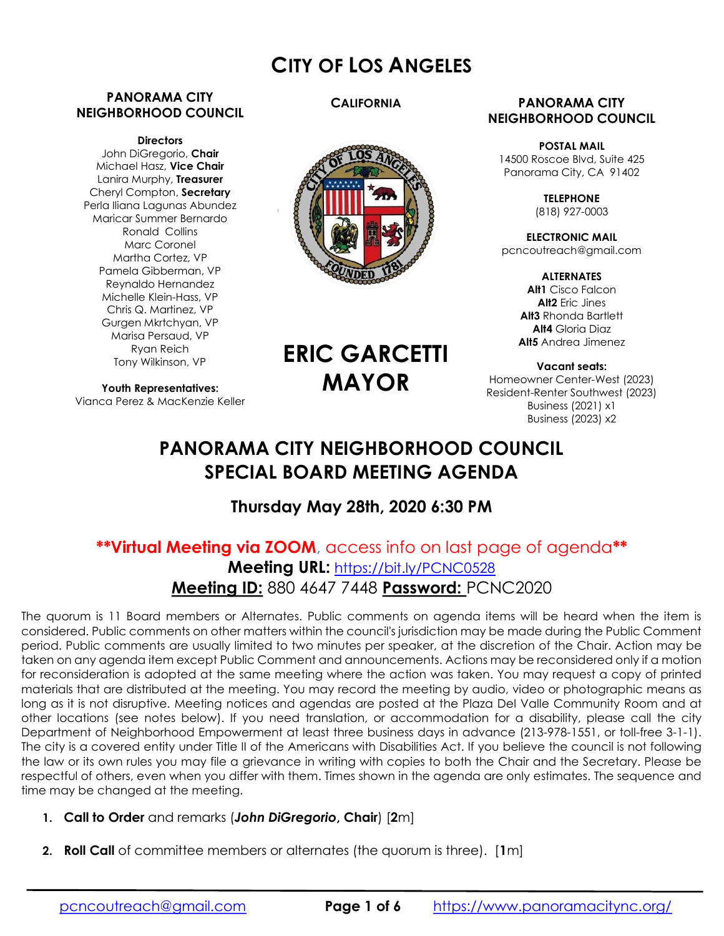# CITY OF LOS ANGELES

#### PANORAMA CITY NEIGHBORHOOD COUNCIL

#### **Directors**

John DiGregorio, Chair Michael Hasz, Vice Chair Lanira Murphy, Treasurer Cheryl Compton, Secretary Perla Iliana Lagunas Abundez Maricar Summer Bernardo Ronald Collins Marc Coronel Martha Cortez, VP Pamela Gibberman, VP Reynaldo Hernandez Michelle Klein-Hass, VP Chris Q. Martinez, VP Gurgen Mkrtchyan, VP Marisa Persaud, VP Ryan Reich Tony Wilkinson, VP

Youth Representatives: Vianca Perez & MacKenzie Keller

#### **CALIFORNIA**



#### PANORAMA CITY NEIGHBORHOOD COUNCIL

POSTAL MAIL 14500 Roscoe Blvd, Suite 425 Panorama City, CA 91402

> **TELEPHONE** (818) 927-0003

ELECTRONIC MAIL pcncoutreach@gmail.com

> ALTERNATES Alt1 Cisco Falcon Alt2 Eric Jines Alt<sub>3</sub> Rhonda Bartlett Alt4 Gloria Diaz Alt5 Andrea Jimenez

Vacant seats: Homeowner Center-West (2023) Resident-Renter Southwest (2023) Business (2021) x1 Business (2023) x2

# PANORAMA CITY NEIGHBORHOOD COUNCIL SPECIAL BOARD MEETING AGENDA

ERIC GARCETTI

MAYOR

# Thursday May 28th, 2020 6:30 PM

# \*\*Virtual Meeting via ZOOM, access info on last page of agenda\*\* Meeting URL: https://bit.ly/PCNC0528 Meeting ID: 880 4647 7448 Password: PCNC2020

The quorum is 11 Board members or Alternates. Public comments on agenda items will be heard when the item is considered. Public comments on other matters within the council's jurisdiction may be made during the Public Comment period. Public comments are usually limited to two minutes per speaker, at the discretion of the Chair. Action may be taken on any agenda item except Public Comment and announcements. Actions may be reconsidered only if a motion for reconsideration is adopted at the same meeting where the action was taken. You may request a copy of printed materials that are distributed at the meeting. You may record the meeting by audio, video or photographic means as long as it is not disruptive. Meeting notices and agendas are posted at the Plaza Del Valle Community Room and at other locations (see notes below). If you need translation, or accommodation for a disability, please call the city Department of Neighborhood Empowerment at least three business days in advance (213-978-1551, or toll-free 3-1-1). The city is a covered entity under Title II of the Americans with Disabilities Act. If you believe the council is not following the law or its own rules you may file a grievance in writing with copies to both the Chair and the Secretary. Please be respectful of others, even when you differ with them. Times shown in the agenda are only estimates. The sequence and time may be changed at the meeting.

- 1. Call to Order and remarks (John DiGregorio, Chair) [2m]
- 2. Roll Call of committee members or alternates (the quorum is three). [1m]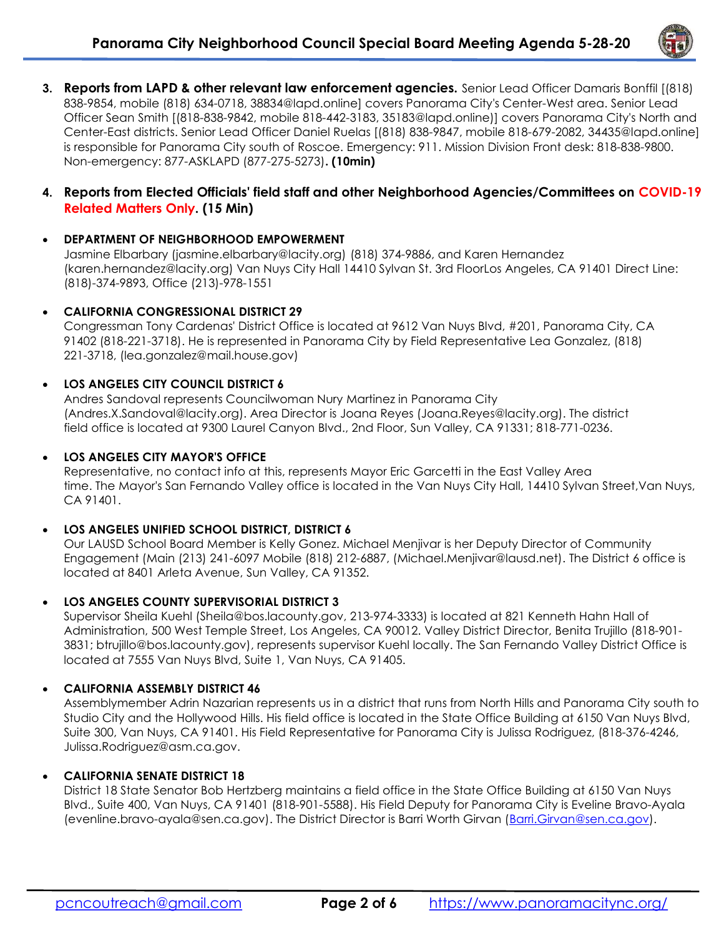

3. Reports from LAPD & other relevant law enforcement agencies. Senior Lead Officer Damaris Bonffil [(818) 838-9854, mobile (818) 634-0718, 38834@lapd.online] covers Panorama City's Center-West area. Senior Lead Officer Sean Smith [(818-838-9842, mobile 818-442-3183, 35183@lapd.online)] covers Panorama City's North and Center-East districts. Senior Lead Officer Daniel Ruelas [(818) 838-9847, mobile 818-679-2082, 34435@lapd.online] is responsible for Panorama City south of Roscoe. Emergency: 911. Mission Division Front desk: 818-838-9800. Non-emergency: 877-ASKLAPD (877-275-5273). (10min)

#### 4. Reports from Elected Officials' field staff and other Neighborhood Agencies/Committees on COVID-19 Related Matters Only. (15 Min)

#### DEPARTMENT OF NEIGHBORHOOD EMPOWERMENT

Jasmine Elbarbary (jasmine.elbarbary@lacity.org) (818) 374-9886, and Karen Hernandez (karen.hernandez@lacity.org) Van Nuys City Hall 14410 Sylvan St. 3rd FloorLos Angeles, CA 91401 Direct Line: (818)-374-9893, Office (213)-978-1551

#### CALIFORNIA CONGRESSIONAL DISTRICT 29

Congressman Tony Cardenas' District Office is located at 9612 Van Nuys Blvd, #201, Panorama City, CA 91402 (818-221-3718). He is represented in Panorama City by Field Representative Lea Gonzalez, (818) 221-3718, (lea.gonzalez@mail.house.gov)

#### LOS ANGELES CITY COUNCIL DISTRICT 6

Andres Sandoval represents Councilwoman Nury Martinez in Panorama City (Andres.X.Sandoval@lacity.org). Area Director is Joana Reyes (Joana.Reyes@lacity.org). The district field office is located at 9300 Laurel Canyon Blvd., 2nd Floor, Sun Valley, CA 91331; 818-771-0236.

#### LOS ANGELES CITY MAYOR'S OFFICE

Representative, no contact info at this, represents Mayor Eric Garcetti in the East Valley Area time. The Mayor's San Fernando Valley office is located in the Van Nuys City Hall, 14410 Sylvan Street,Van Nuys, CA 91401.

## LOS ANGELES UNIFIED SCHOOL DISTRICT, DISTRICT 6

Our LAUSD School Board Member is Kelly Gonez. Michael Menjivar is her Deputy Director of Community Engagement (Main (213) 241-6097 Mobile (818) 212-6887, (Michael.Menjivar@lausd.net). The District 6 office is located at 8401 Arleta Avenue, Sun Valley, CA 91352.

## LOS ANGELES COUNTY SUPERVISORIAL DISTRICT 3

Supervisor Sheila Kuehl (Sheila@bos.lacounty.gov, 213-974-3333) is located at 821 Kenneth Hahn Hall of Administration, 500 West Temple Street, Los Angeles, CA 90012. Valley District Director, Benita Trujillo (818-901- 3831; btrujillo@bos.lacounty.gov), represents supervisor Kuehl locally. The San Fernando Valley District Office is located at 7555 Van Nuys Blvd, Suite 1, Van Nuys, CA 91405.

## CALIFORNIA ASSEMBLY DISTRICT 46

Assemblymember Adrin Nazarian represents us in a district that runs from North Hills and Panorama City south to Studio City and the Hollywood Hills. His field office is located in the State Office Building at 6150 Van Nuys Blvd, Suite 300, Van Nuys, CA 91401. His Field Representative for Panorama City is Julissa Rodriguez, (818-376-4246, Julissa.Rodriguez@asm.ca.gov.

#### CALIFORNIA SENATE DISTRICT 18

District 18 State Senator Bob Hertzberg maintains a field office in the State Office Building at 6150 Van Nuys Blvd., Suite 400, Van Nuys, CA 91401 (818-901-5588). His Field Deputy for Panorama City is Eveline Bravo-Ayala (evenline.bravo-ayala@sen.ca.gov). The District Director is Barri Worth Girvan (Barri.Girvan@sen.ca.gov).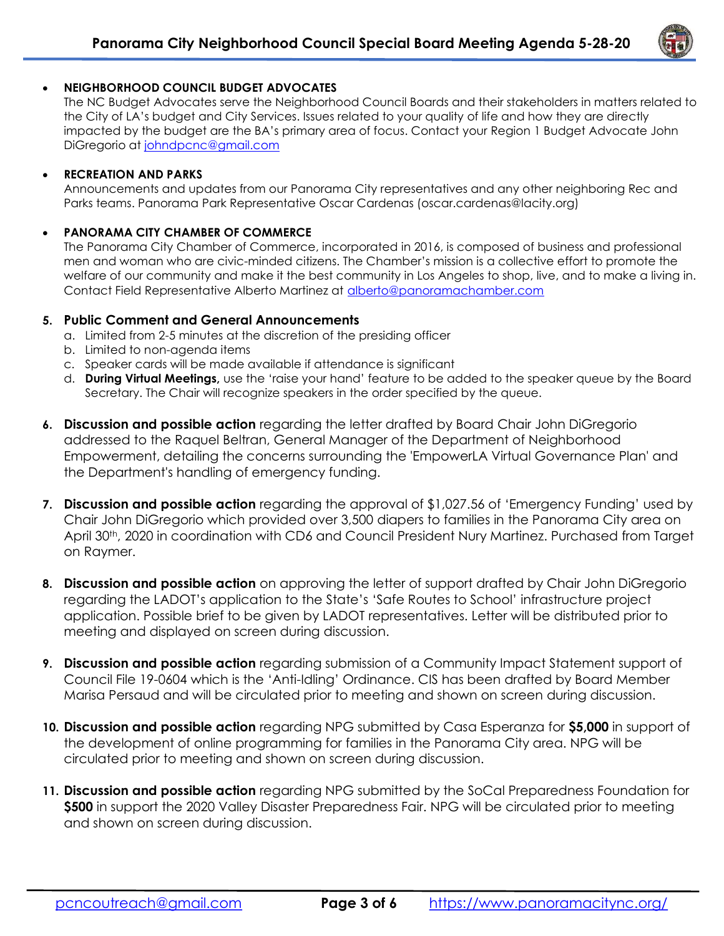

# NEIGHBORHOOD COUNCIL BUDGET ADVOCATES

The NC Budget Advocates serve the Neighborhood Council Boards and their stakeholders in matters related to the City of LA's budget and City Services. Issues related to your quality of life and how they are directly impacted by the budget are the BA's primary area of focus. Contact your Region 1 Budget Advocate John DiGregorio at johndpcnc@gmail.com

#### RECREATION AND PARKS

Announcements and updates from our Panorama City representatives and any other neighboring Rec and Parks teams. Panorama Park Representative Oscar Cardenas (oscar.cardenas@lacity.org)

#### PANORAMA CITY CHAMBER OF COMMERCE

The Panorama City Chamber of Commerce, incorporated in 2016, is composed of business and professional men and woman who are civic-minded citizens. The Chamber's mission is a collective effort to promote the welfare of our community and make it the best community in Los Angeles to shop, live, and to make a living in. Contact Field Representative Alberto Martinez at alberto@panoramachamber.com

#### 5. Public Comment and General Announcements

- a. Limited from 2-5 minutes at the discretion of the presiding officer
- b. Limited to non-agenda items
- c. Speaker cards will be made available if attendance is significant
- d. **During Virtual Meetings**, use the 'raise your hand' feature to be added to the speaker queue by the Board Secretary. The Chair will recognize speakers in the order specified by the queue.
- 6. Discussion and possible action regarding the letter drafted by Board Chair John DiGregorio addressed to the Raquel Beltran, General Manager of the Department of Neighborhood Empowerment, detailing the concerns surrounding the 'EmpowerLA Virtual Governance Plan' and the Department's handling of emergency funding.
- 7. Discussion and possible action regarding the approval of \$1,027.56 of 'Emergency Funding' used by Chair John DiGregorio which provided over 3,500 diapers to families in the Panorama City area on April 30<sup>th</sup>, 2020 in coordination with CD6 and Council President Nury Martinez. Purchased from Target on Raymer.
- 8. Discussion and possible action on approving the letter of support drafted by Chair John DiGregorio regarding the LADOT's application to the State's 'Safe Routes to School' infrastructure project application. Possible brief to be given by LADOT representatives. Letter will be distributed prior to meeting and displayed on screen during discussion.
- 9. Discussion and possible action regarding submission of a Community Impact Statement support of Council File 19-0604 which is the 'Anti-Idling' Ordinance. CIS has been drafted by Board Member Marisa Persaud and will be circulated prior to meeting and shown on screen during discussion.
- 10. Discussion and possible action regarding NPG submitted by Casa Esperanza for \$5,000 in support of the development of online programming for families in the Panorama City area. NPG will be circulated prior to meeting and shown on screen during discussion.
- 11. Discussion and possible action regarding NPG submitted by the SoCal Preparedness Foundation for \$500 in support the 2020 Valley Disaster Preparedness Fair. NPG will be circulated prior to meeting and shown on screen during discussion.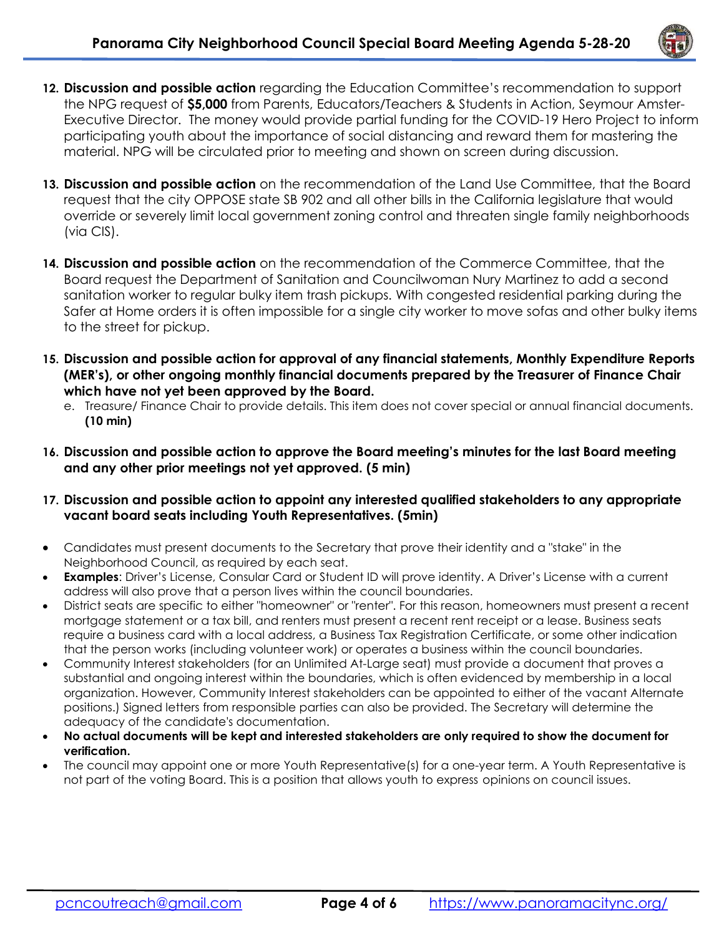

- 12. Discussion and possible action regarding the Education Committee's recommendation to support the NPG request of \$5,000 from Parents, Educators/Teachers & Students in Action, Seymour Amster-Executive Director. The money would provide partial funding for the COVID-19 Hero Project to inform participating youth about the importance of social distancing and reward them for mastering the material. NPG will be circulated prior to meeting and shown on screen during discussion.
- 13. Discussion and possible action on the recommendation of the Land Use Committee, that the Board request that the city OPPOSE state SB 902 and all other bills in the California legislature that would override or severely limit local government zoning control and threaten single family neighborhoods (via CIS).
- 14. Discussion and possible action on the recommendation of the Commerce Committee, that the Board request the Department of Sanitation and Councilwoman Nury Martinez to add a second sanitation worker to regular bulky item trash pickups. With congested residential parking during the Safer at Home orders it is often impossible for a single city worker to move sofas and other bulky items to the street for pickup.
- 15. Discussion and possible action for approval of any financial statements, Monthly Expenditure Reports (MER's), or other ongoing monthly financial documents prepared by the Treasurer of Finance Chair which have not yet been approved by the Board.
	- e. Treasure/ Finance Chair to provide details. This item does not cover special or annual financial documents. (10 min)
- 16. Discussion and possible action to approve the Board meeting's minutes for the last Board meeting and any other prior meetings not yet approved. (5 min)
- 17. Discussion and possible action to appoint any interested qualified stakeholders to any appropriate vacant board seats including Youth Representatives. (5min)
- Candidates must present documents to the Secretary that prove their identity and a "stake" in the Neighborhood Council, as required by each seat.
- Examples: Driver's License, Consular Card or Student ID will prove identity. A Driver's License with a current address will also prove that a person lives within the council boundaries.
- District seats are specific to either "homeowner" or "renter". For this reason, homeowners must present a recent mortgage statement or a tax bill, and renters must present a recent rent receipt or a lease. Business seats require a business card with a local address, a Business Tax Registration Certificate, or some other indication that the person works (including volunteer work) or operates a business within the council boundaries.
- Community Interest stakeholders (for an Unlimited At-Large seat) must provide a document that proves a substantial and ongoing interest within the boundaries, which is often evidenced by membership in a local organization. However, Community Interest stakeholders can be appointed to either of the vacant Alternate positions.) Signed letters from responsible parties can also be provided. The Secretary will determine the adequacy of the candidate's documentation.
- No actual documents will be kept and interested stakeholders are only required to show the document for verification.
- The council may appoint one or more Youth Representative(s) for a one-year term. A Youth Representative is not part of the voting Board. This is a position that allows youth to express opinions on council issues.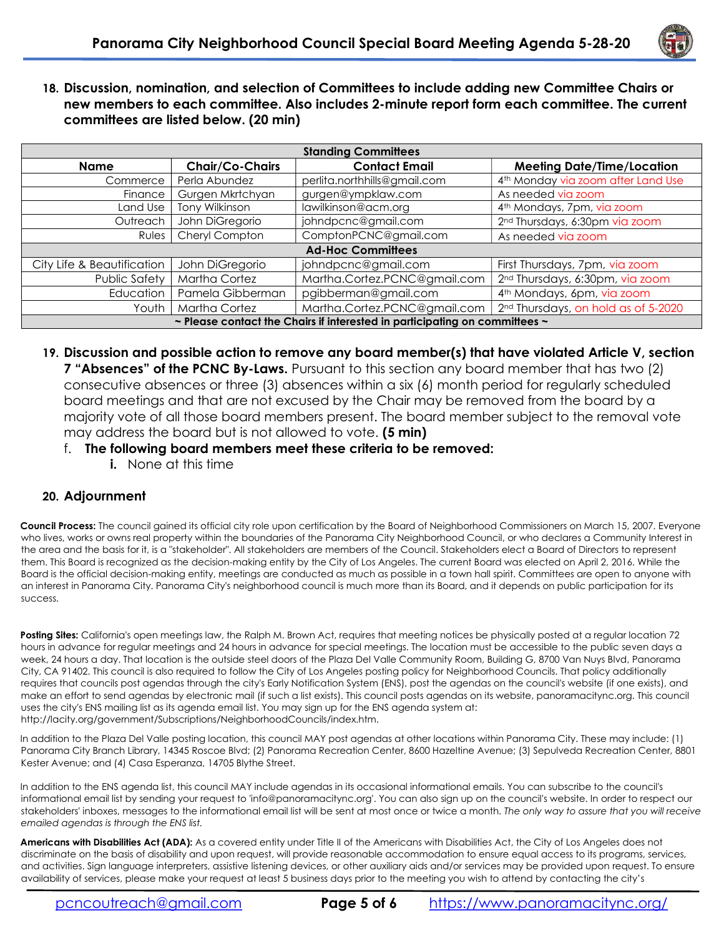

18. Discussion, nomination, and selection of Committees to include adding new Committee Chairs or new members to each committee. Also includes 2-minute report form each committee. The current committees are listed below. (20 min)

| <b>Standing Committees</b>                                                 |                      |                              |                                                 |
|----------------------------------------------------------------------------|----------------------|------------------------------|-------------------------------------------------|
| Name                                                                       | Chair/Co-Chairs      | <b>Contact Email</b>         | <b>Meeting Date/Time/Location</b>               |
| Commerce                                                                   | Perla Abundez        | perlita.northhills@gmail.com | 4 <sup>th</sup> Monday via zoom after Land Use  |
| Finance                                                                    | Gurgen Mkrtchyan     | gurgen@ympklaw.com           | As needed via zoom                              |
| Land Use                                                                   | Tony Wilkinson       | lawilkinson@acm.org          | 4 <sup>th</sup> Mondays, 7pm, via zoom          |
| Outreach                                                                   | John DiGregorio      | johndpcnc@gmail.com          | 2 <sup>nd</sup> Thursdays, 6:30pm via zoom      |
| Rules                                                                      | Cheryl Compton       | ComptonPCNC@gmail.com        | As needed via zoom                              |
| <b>Ad-Hoc Committees</b>                                                   |                      |                              |                                                 |
| City Life & Beautification                                                 | John DiGregorio      | johndpcnc@gmail.com          | First Thursdays, 7pm, via zoom                  |
| Public Safety                                                              | <b>Martha Cortez</b> | Martha.Cortez.PCNC@gmail.com | 2 <sup>nd</sup> Thursdays, 6:30pm, via zoom     |
| Education                                                                  | Pamela Gibberman     | pgibberman@gmail.com         | 4 <sup>th</sup> Mondays, 6pm, via zoom          |
| Youth                                                                      | <b>Martha Cortez</b> | Martha.Cortez.PCNC@gmail.com | 2 <sup>nd</sup> Thursdays, on hold as of 5-2020 |
| ~ Please contact the Chairs if interested in participating on committees ~ |                      |                              |                                                 |

- 19. Discussion and possible action to remove any board member(s) that have violated Article V, section **7 "Absences" of the PCNC By-Laws.** Pursuant to this section any board member that has two (2) consecutive absences or three (3) absences within a six (6) month period for regularly scheduled board meetings and that are not excused by the Chair may be removed from the board by a majority vote of all those board members present. The board member subject to the removal vote may address the board but is not allowed to vote. (5 min)
	- f. The following board members meet these criteria to be removed:
		- i. None at this time

## 20. Adjournment

Council Process: The council gained its official city role upon certification by the Board of Neighborhood Commissioners on March 15, 2007. Everyone who lives, works or owns real property within the boundaries of the Panorama City Neighborhood Council, or who declares a Community Interest in the area and the basis for it, is a "stakeholder". All stakeholders are members of the Council. Stakeholders elect a Board of Directors to represent them. This Board is recognized as the decision-making entity by the City of Los Angeles. The current Board was elected on April 2, 2016. While the Board is the official decision-making entity, meetings are conducted as much as possible in a town hall spirit. Committees are open to anyone with an interest in Panorama City. Panorama City's neighborhood council is much more than its Board, and it depends on public participation for its success.

Posting Sites: California's open meetings law, the Ralph M. Brown Act, requires that meeting notices be physically posted at a regular location 72 hours in advance for regular meetings and 24 hours in advance for special meetings. The location must be accessible to the public seven days a week, 24 hours a day. That location is the outside steel doors of the Plaza Del Valle Community Room, Building G, 8700 Van Nuys Blvd, Panorama City, CA 91402. This council is also required to follow the City of Los Angeles posting policy for Neighborhood Councils. That policy additionally requires that councils post agendas through the city's Early Notification System (ENS), post the agendas on the council's website (if one exists), and make an effort to send agendas by electronic mail (if such a list exists). This council posts agendas on its website, panoramacitync.org. This council uses the city's ENS mailing list as its agenda email list. You may sign up for the ENS agenda system at: http://lacity.org/government/Subscriptions/NeighborhoodCouncils/index.htm.

In addition to the Plaza Del Valle posting location, this council MAY post agendas at other locations within Panorama City. These may include: (1) Panorama City Branch Library, 14345 Roscoe Blvd; (2) Panorama Recreation Center, 8600 Hazeltine Avenue; (3) Sepulveda Recreation Center, 8801 Kester Avenue; and (4) Casa Esperanza, 14705 Blythe Street.

In addition to the ENS agenda list, this council MAY include agendas in its occasional informational emails. You can subscribe to the council's informational email list by sending your request to 'info@panoramacitync.org'. You can also sign up on the council's website. In order to respect our stakeholders' inboxes, messages to the informational email list will be sent at most once or twice a month. The only way to assure that you will receive emailed agendas is through the ENS list.

Americans with Disabilities Act (ADA): As a covered entity under Title II of the Americans with Disabilities Act, the City of Los Angeles does not discriminate on the basis of disability and upon request, will provide reasonable accommodation to ensure equal access to its programs, services, and activities. Sign language interpreters, assistive listening devices, or other auxiliary aids and/or services may be provided upon request. To ensure availability of services, please make your request at least 5 business days prior to the meeting you wish to attend by contacting the city's